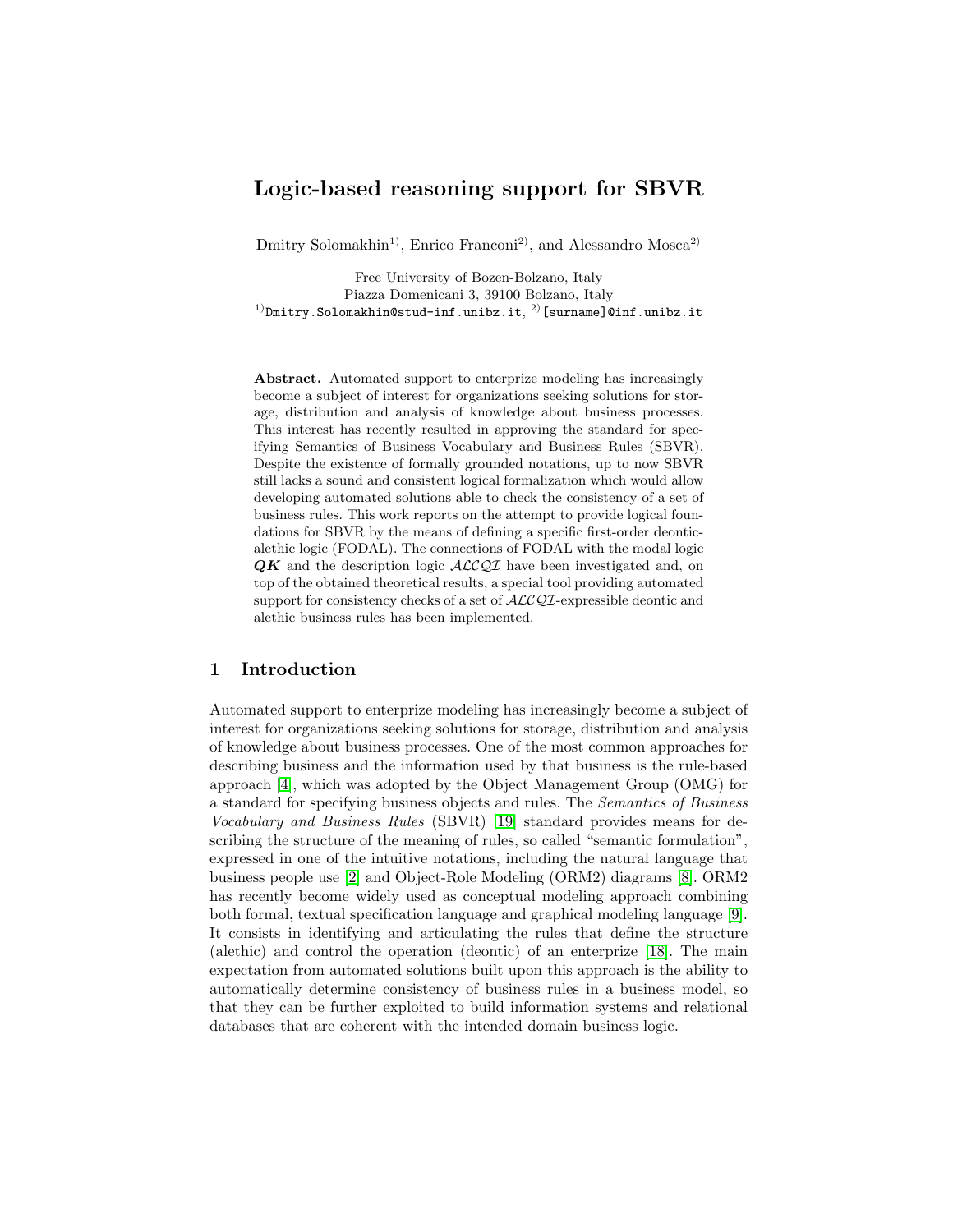# Logic-based reasoning support for SBVR

 $Dmitry$  Solomakhin<sup>1)</sup>, Enrico Franconi<sup>2)</sup>, and Alessandro Mosca<sup>2)</sup>

Free University of Bozen-Bolzano, Italy Piazza Domenicani 3, 39100 Bolzano, Italy  $^{1)}$ Dmitry.Solomakhin@stud-inf.unibz.it, $^{2)}$ [surname]@inf.unibz.it

Abstract. Automated support to enterprize modeling has increasingly become a subject of interest for organizations seeking solutions for storage, distribution and analysis of knowledge about business processes. This interest has recently resulted in approving the standard for specifying Semantics of Business Vocabulary and Business Rules (SBVR). Despite the existence of formally grounded notations, up to now SBVR still lacks a sound and consistent logical formalization which would allow developing automated solutions able to check the consistency of a set of business rules. This work reports on the attempt to provide logical foundations for SBVR by the means of defining a specific first-order deonticalethic logic (FODAL). The connections of FODAL with the modal logic  $QK$  and the description logic  $\mathcal{ALCQI}$  have been investigated and, on top of the obtained theoretical results, a special tool providing automated support for consistency checks of a set of  $\text{ALCQL}$ -expressible deontic and alethic business rules has been implemented.

# 1 Introduction

Automated support to enterprize modeling has increasingly become a subject of interest for organizations seeking solutions for storage, distribution and analysis of knowledge about business processes. One of the most common approaches for describing business and the information used by that business is the rule-based approach [\[4\]](#page-14-0), which was adopted by the Object Management Group (OMG) for a standard for specifying business objects and rules. The Semantics of Business Vocabulary and Business Rules (SBVR) [\[19\]](#page-14-1) standard provides means for describing the structure of the meaning of rules, so called "semantic formulation", expressed in one of the intuitive notations, including the natural language that business people use [\[2\]](#page-14-2) and Object-Role Modeling (ORM2) diagrams [\[8\]](#page-14-3). ORM2 has recently become widely used as conceptual modeling approach combining both formal, textual specification language and graphical modeling language [\[9\]](#page-14-4). It consists in identifying and articulating the rules that define the structure (alethic) and control the operation (deontic) of an enterprize [\[18\]](#page-14-5). The main expectation from automated solutions built upon this approach is the ability to automatically determine consistency of business rules in a business model, so that they can be further exploited to build information systems and relational databases that are coherent with the intended domain business logic.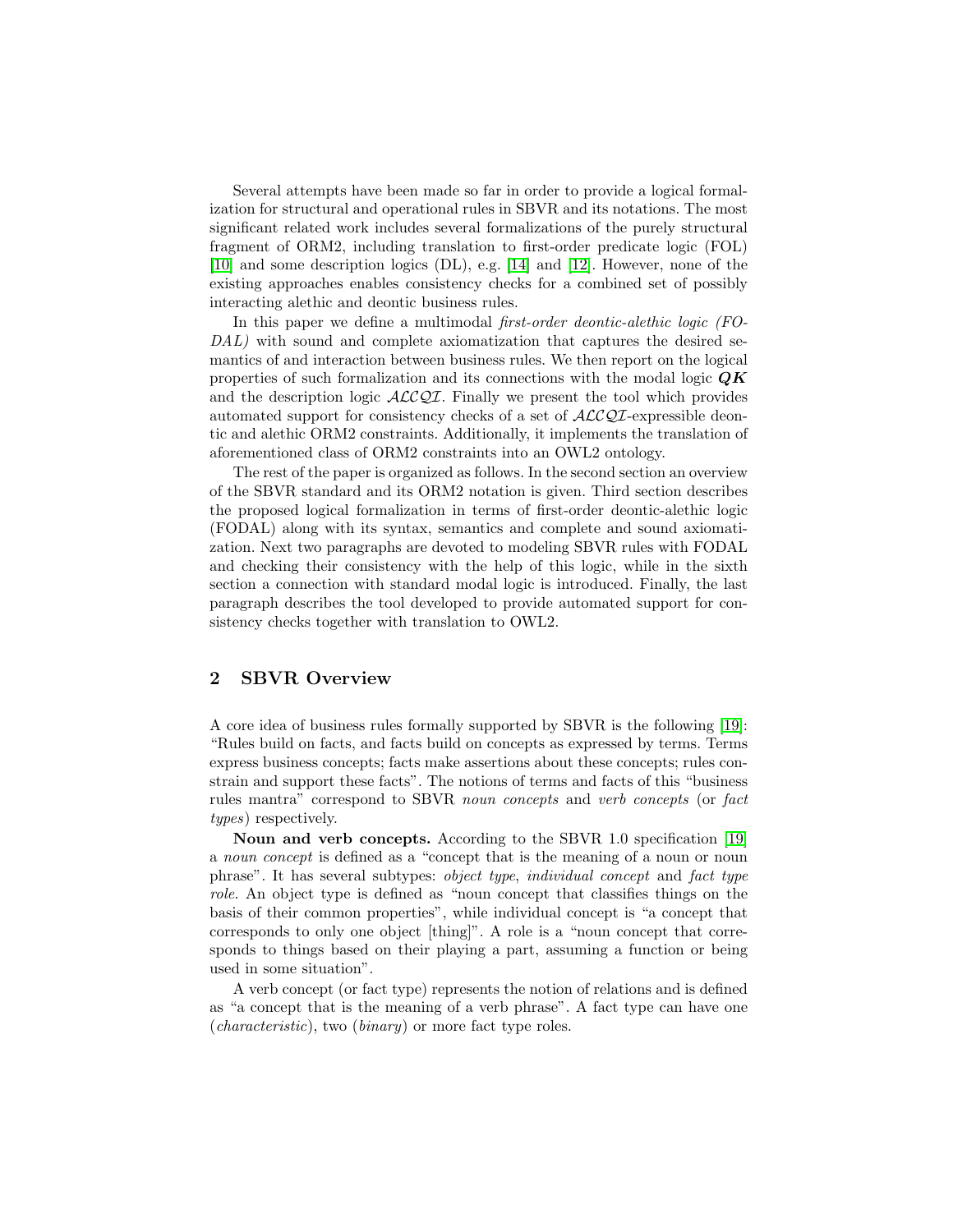Several attempts have been made so far in order to provide a logical formalization for structural and operational rules in SBVR and its notations. The most significant related work includes several formalizations of the purely structural fragment of ORM2, including translation to first-order predicate logic (FOL) [\[10\]](#page-14-6) and some description logics (DL), e.g. [\[14\]](#page-14-7) and [\[12\]](#page-14-8). However, none of the existing approaches enables consistency checks for a combined set of possibly interacting alethic and deontic business rules.

In this paper we define a multimodal *first-order deontic-alethic logic* (FO-DAL) with sound and complete axiomatization that captures the desired semantics of and interaction between business rules. We then report on the logical properties of such formalization and its connections with the modal logic  $\mathbf{Q}\mathbf{K}$ and the description logic  $\text{ALCQI}$ . Finally we present the tool which provides automated support for consistency checks of a set of  $\mathcal{ALCQI}$ -expressible deontic and alethic ORM2 constraints. Additionally, it implements the translation of aforementioned class of ORM2 constraints into an OWL2 ontology.

The rest of the paper is organized as follows. In the second section an overview of the SBVR standard and its ORM2 notation is given. Third section describes the proposed logical formalization in terms of first-order deontic-alethic logic (FODAL) along with its syntax, semantics and complete and sound axiomatization. Next two paragraphs are devoted to modeling SBVR rules with FODAL and checking their consistency with the help of this logic, while in the sixth section a connection with standard modal logic is introduced. Finally, the last paragraph describes the tool developed to provide automated support for consistency checks together with translation to OWL2.

# 2 SBVR Overview

A core idea of business rules formally supported by SBVR is the following [\[19\]](#page-14-1): "Rules build on facts, and facts build on concepts as expressed by terms. Terms express business concepts; facts make assertions about these concepts; rules constrain and support these facts". The notions of terms and facts of this "business rules mantra" correspond to SBVR noun concepts and verb concepts (or fact types) respectively.

Noun and verb concepts. According to the SBVR 1.0 specification [\[19\]](#page-14-1) a noun concept is defined as a "concept that is the meaning of a noun or noun phrase". It has several subtypes: object type, individual concept and fact type role. An object type is defined as "noun concept that classifies things on the basis of their common properties", while individual concept is "a concept that corresponds to only one object [thing]". A role is a "noun concept that corresponds to things based on their playing a part, assuming a function or being used in some situation".

A verb concept (or fact type) represents the notion of relations and is defined as "a concept that is the meaning of a verb phrase". A fact type can have one (characteristic), two (binary) or more fact type roles.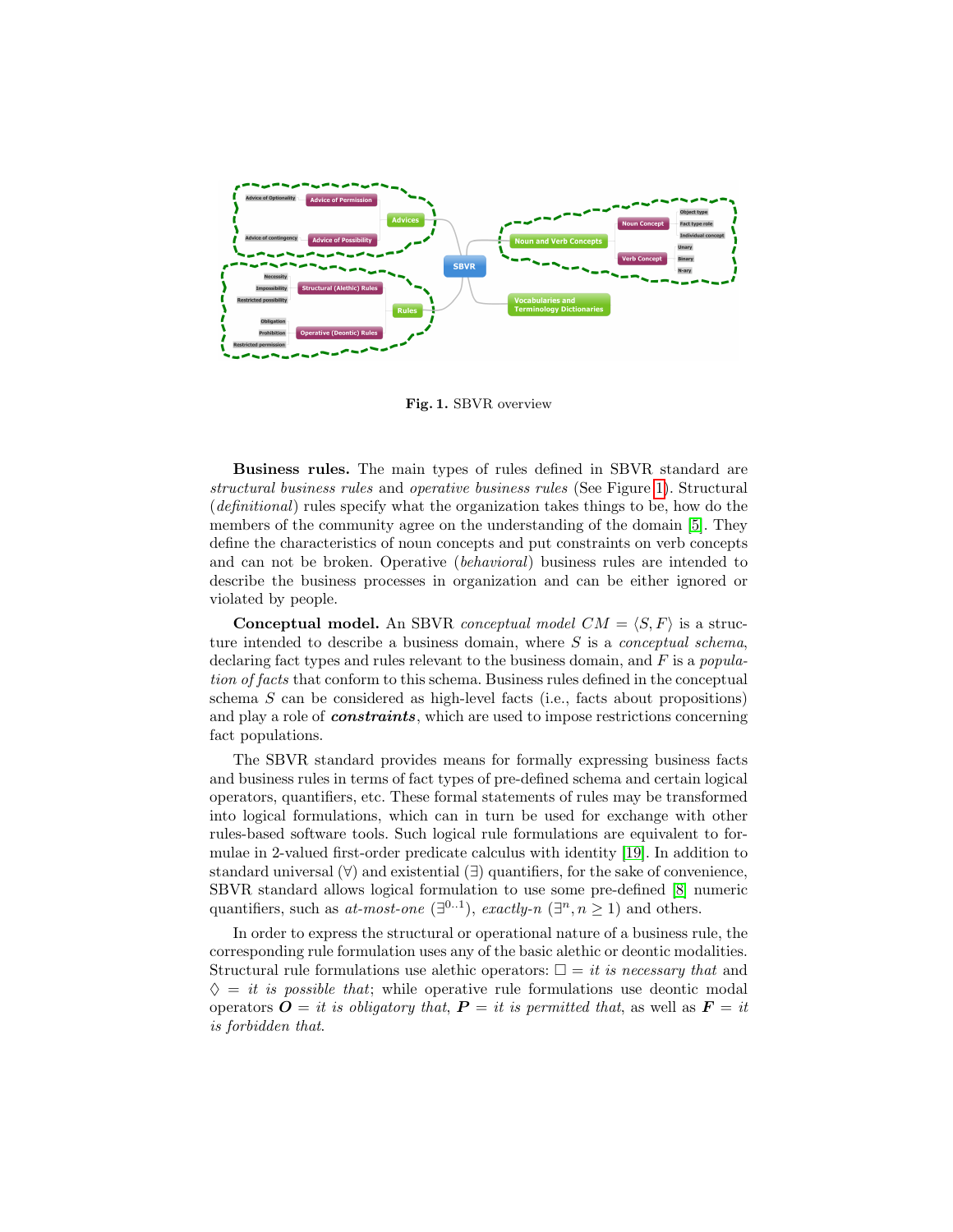

<span id="page-2-0"></span>Fig. 1. SBVR overview

Business rules. The main types of rules defined in SBVR standard are structural business rules and operative business rules (See Figure [1\)](#page-2-0). Structural (definitional) rules specify what the organization takes things to be, how do the members of the community agree on the understanding of the domain [\[5\]](#page-14-9). They define the characteristics of noun concepts and put constraints on verb concepts and can not be broken. Operative (behavioral) business rules are intended to describe the business processes in organization and can be either ignored or violated by people.

**Conceptual model.** An SBVR *conceptual model CM* =  $\langle S, F \rangle$  is a structure intended to describe a business domain, where  $S$  is a *conceptual schema*, declaring fact types and rules relevant to the business domain, and  $F$  is a *popula*tion of facts that conform to this schema. Business rules defined in the conceptual schema  $S$  can be considered as high-level facts (i.e., facts about propositions) and play a role of **constraints**, which are used to impose restrictions concerning fact populations.

The SBVR standard provides means for formally expressing business facts and business rules in terms of fact types of pre-defined schema and certain logical operators, quantifiers, etc. These formal statements of rules may be transformed into logical formulations, which can in turn be used for exchange with other rules-based software tools. Such logical rule formulations are equivalent to formulae in 2-valued first-order predicate calculus with identity [\[19\]](#page-14-1). In addition to standard universal  $(\forall)$  and existential  $(\exists)$  quantifiers, for the sake of convenience, SBVR standard allows logical formulation to use some pre-defined [\[8\]](#page-14-3) numeric quantifiers, such as *at-most-one*  $(\exists^{0..1})$ , *exactly-n*  $(\exists^{n}, n \geq 1)$  and others.

In order to express the structural or operational nature of a business rule, the corresponding rule formulation uses any of the basic alethic or deontic modalities. Structural rule formulations use alethic operators:  $\Box = it$  is necessary that and  $\Diamond = it$  is possible that; while operative rule formulations use deontic modal operators  $\mathbf{O} = it$  is obligatory that,  $\mathbf{P} = it$  is permitted that, as well as  $\mathbf{F} = it$ is forbidden that.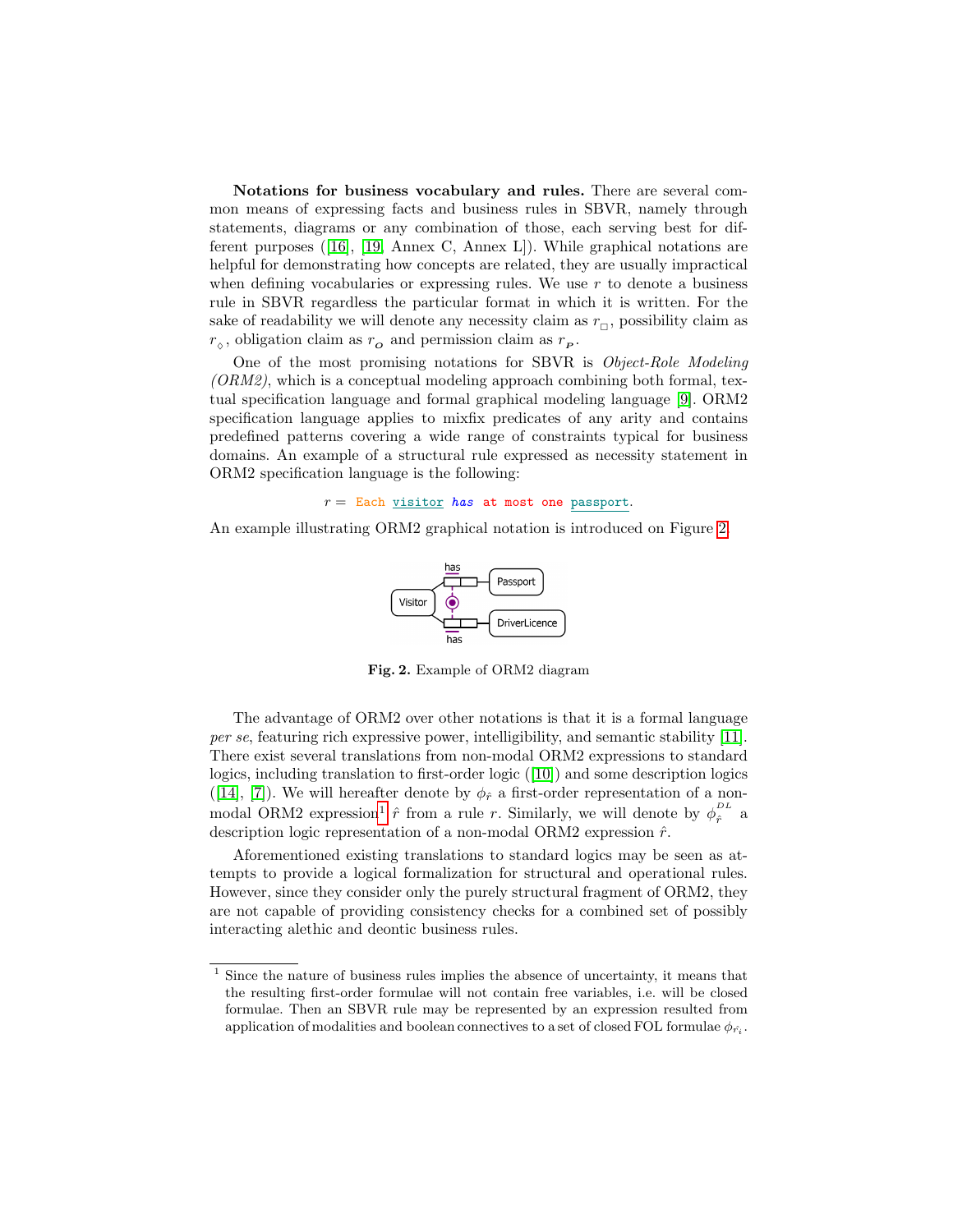Notations for business vocabulary and rules. There are several common means of expressing facts and business rules in SBVR, namely through statements, diagrams or any combination of those, each serving best for different purposes ([\[16\]](#page-14-10), [\[19,](#page-14-1) Annex C, Annex L]). While graphical notations are helpful for demonstrating how concepts are related, they are usually impractical when defining vocabularies or expressing rules. We use  $r$  to denote a business rule in SBVR regardless the particular format in which it is written. For the sake of readability we will denote any necessity claim as  $r_{\Box}$ , possibility claim as  $r_{\diamond}$ , obligation claim as  $r_{\mathbf{o}}$  and permission claim as  $r_{\mathbf{p}}$ .

One of the most promising notations for SBVR is Object-Role Modeling  $(ORM2)$ , which is a conceptual modeling approach combining both formal, textual specification language and formal graphical modeling language [\[9\]](#page-14-4). ORM2 specification language applies to mixfix predicates of any arity and contains predefined patterns covering a wide range of constraints typical for business domains. An example of a structural rule expressed as necessity statement in ORM2 specification language is the following:

 $r =$  Each visitor has at most one passport.

An example illustrating ORM2 graphical notation is introduced on Figure [2.](#page-3-0)



<span id="page-3-0"></span>Fig. 2. Example of ORM2 diagram

The advantage of ORM2 over other notations is that it is a formal language per se, featuring rich expressive power, intelligibility, and semantic stability [\[11\]](#page-14-11). There exist several translations from non-modal ORM2 expressions to standard logics, including translation to first-order logic ([\[10\]](#page-14-6)) and some description logics ([\[14\]](#page-14-7), [\[7\]](#page-14-12)). We will hereafter denote by  $\phi_{\hat{r}}$  a first-order representation of a non-modal ORM2 expression<sup>[1](#page-3-1)</sup>  $\hat{r}$  from a rule r. Similarly, we will denote by  $\phi_{\hat{r}}^{DL}$  a description logic representation of a non-modal ORM2 expression  $\hat{r}$ .

Aforementioned existing translations to standard logics may be seen as attempts to provide a logical formalization for structural and operational rules. However, since they consider only the purely structural fragment of ORM2, they are not capable of providing consistency checks for a combined set of possibly interacting alethic and deontic business rules.

<span id="page-3-1"></span><sup>&</sup>lt;sup>1</sup> Since the nature of business rules implies the absence of uncertainty, it means that the resulting first-order formulae will not contain free variables, i.e. will be closed formulae. Then an SBVR rule may be represented by an expression resulted from application of modalities and boolean connectives to a set of closed FOL formulae  $\phi_{\hat{r_i}}$ .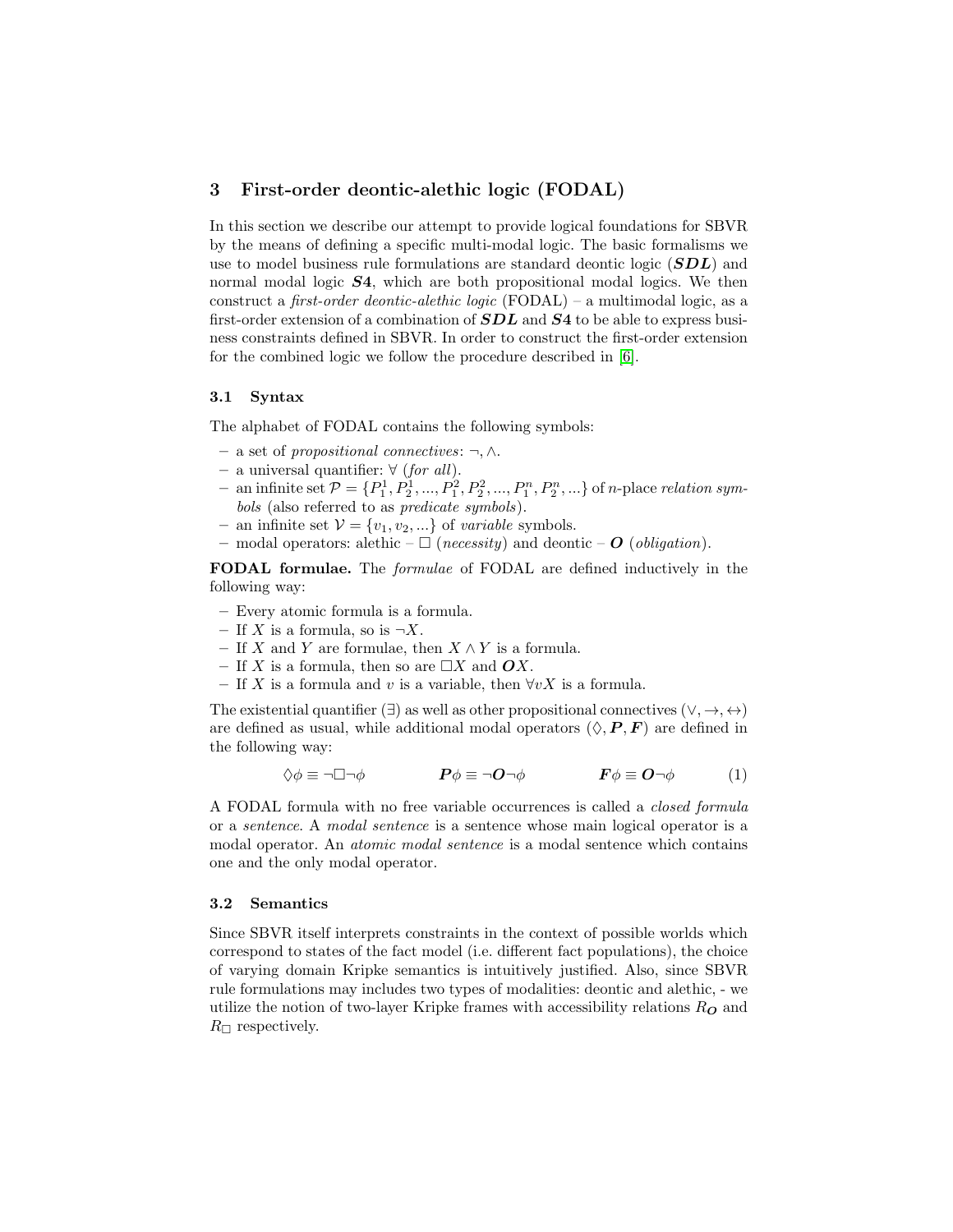# 3 First-order deontic-alethic logic (FODAL)

In this section we describe our attempt to provide logical foundations for SBVR by the means of defining a specific multi-modal logic. The basic formalisms we use to model business rule formulations are standard deontic logic (SDL) and normal modal logic  $S4$ , which are both propositional modal logics. We then construct a *first-order deontic-alethic logic* (FODAL) – a multimodal logic, as a first-order extension of a combination of  $SDL$  and  $S4$  to be able to express business constraints defined in SBVR. In order to construct the first-order extension for the combined logic we follow the procedure described in [\[6\]](#page-14-13).

#### 3.1 Syntax

The alphabet of FODAL contains the following symbols:

- a set of propositional connectives: ¬, ∧.
- a universal quantifier: ∀ (for all).
- an infinite set  $P = \{P_1^1, P_2^1, ..., P_1^2, P_2^2, ..., P_1^n, P_2^n, ...\}$  of *n*-place *relation sym*bols (also referred to as predicate symbols).
- an infinite set  $V = \{v_1, v_2, ...\}$  of variable symbols.
- modal operators: alethic  $\Box$  (necessity) and deontic O (obligation).

FODAL formulae. The formulae of FODAL are defined inductively in the following way:

- Every atomic formula is a formula.
- If X is a formula, so is  $\neg X$ .
- If X and Y are formulae, then  $X \wedge Y$  is a formula.
- If X is a formula, then so are  $\Box X$  and  $\mathbf{O}X$ .
- If X is a formula and v is a variable, then  $\forall v X$  is a formula.

The existential quantifier ( $\exists$ ) as well as other propositional connectives ( $\vee, \rightarrow, \leftrightarrow$ ) are defined as usual, while additional modal operators  $(\Diamond, P, F)$  are defined in the following way:

$$
\Diamond \phi \equiv \neg \Box \neg \phi \qquad \qquad P\phi \equiv \neg O \neg \phi \qquad \qquad F\phi \equiv O \neg \phi \qquad (1)
$$

A FODAL formula with no free variable occurrences is called a closed formula or a sentence. A modal sentence is a sentence whose main logical operator is a modal operator. An atomic modal sentence is a modal sentence which contains one and the only modal operator.

#### 3.2 Semantics

Since SBVR itself interprets constraints in the context of possible worlds which correspond to states of the fact model (i.e. different fact populations), the choice of varying domain Kripke semantics is intuitively justified. Also, since SBVR rule formulations may includes two types of modalities: deontic and alethic, - we utilize the notion of two-layer Kripke frames with accessibility relations  $R_{\boldsymbol{O}}$  and  $R_{\square}$  respectively.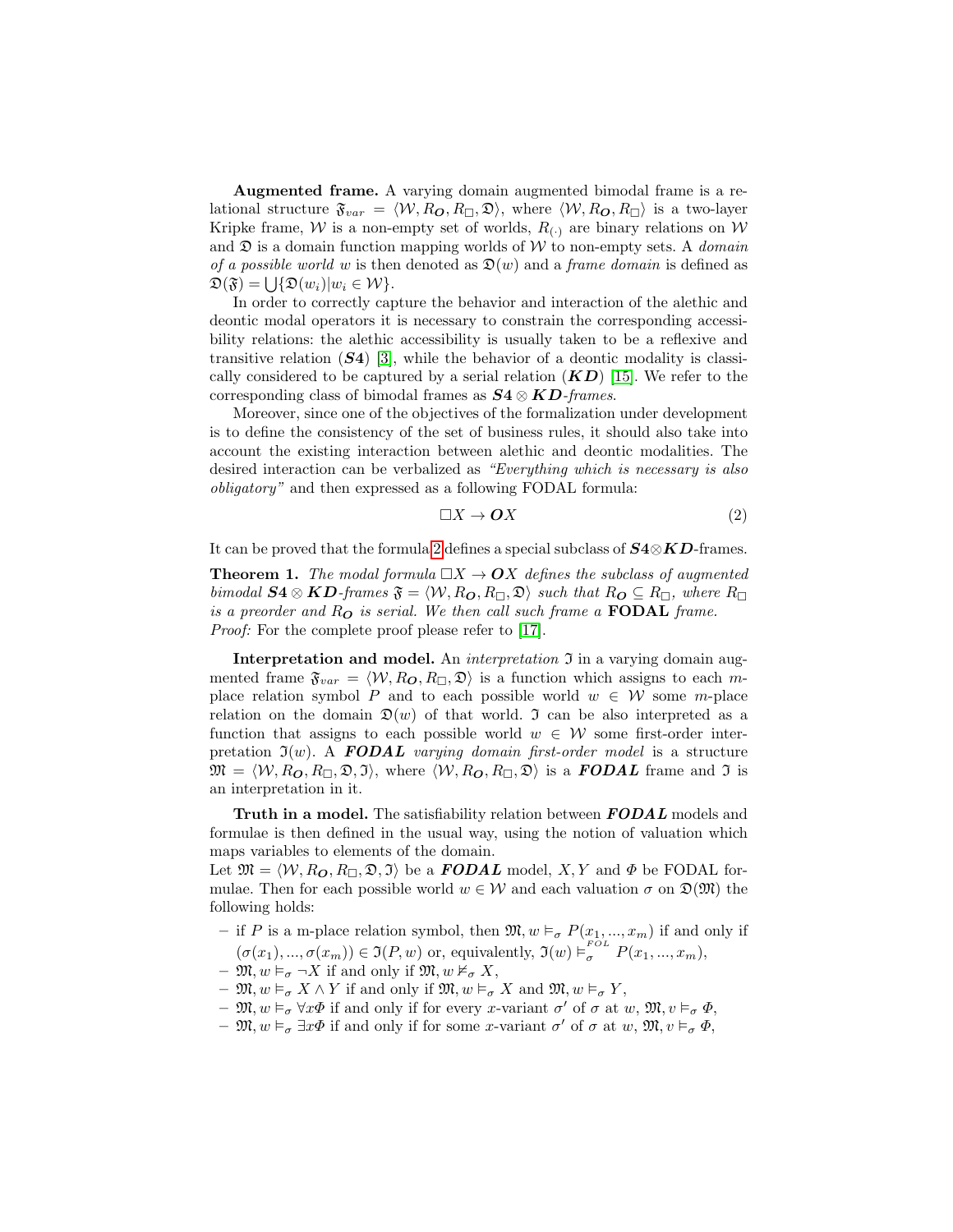Augmented frame. A varying domain augmented bimodal frame is a relational structure  $\mathfrak{F}_{var} = \langle W, R_{\mathbf{O}}, R_{\Box}, \mathfrak{D} \rangle$ , where  $\langle W, R_{\mathbf{O}}, R_{\Box} \rangle$  is a two-layer Kripke frame, W is a non-empty set of worlds,  $R_{(.)}$  are binary relations on W and  $\mathfrak D$  is a domain function mapping worlds of W to non-empty sets. A *domain* of a possible world w is then denoted as  $\mathfrak{D}(w)$  and a frame domain is defined as  $\mathfrak{D}(\mathfrak{F}) = \bigcup \{ \mathfrak{D}(w_i) | w_i \in \mathcal{W} \}.$ 

In order to correctly capture the behavior and interaction of the alethic and deontic modal operators it is necessary to constrain the corresponding accessibility relations: the alethic accessibility is usually taken to be a reflexive and transitive relation  $(S4)$  [\[3\]](#page-14-14), while the behavior of a deontic modality is classically considered to be captured by a serial relation  $(KD)$  [\[15\]](#page-14-15). We refer to the corresponding class of bimodal frames as  $S_4 \otimes K_2$ -frames.

Moreover, since one of the objectives of the formalization under development is to define the consistency of the set of business rules, it should also take into account the existing interaction between alethic and deontic modalities. The desired interaction can be verbalized as "Everything which is necessary is also obligatory" and then expressed as a following FODAL formula:

<span id="page-5-0"></span>
$$
\Box X \to \mathbf{O}X \tag{2}
$$

It can be proved that the formula [2](#page-5-0) defines a special subclass of  $S4\otimes KD$ -frames.

**Theorem 1.** The modal formula  $\Box X \rightarrow OX$  defines the subclass of augmented bimodal  $S4 \otimes KD$ -frames  $\mathfrak{F} = \langle W, R_{\mathbf{O}}, R_{\Box}, \mathfrak{D} \rangle$  such that  $R_{\mathbf{O}} \subseteq R_{\Box}$ , where  $R_{\Box}$ is a preorder and  $R_{\mathbf{O}}$  is serial. We then call such frame a **FODAL** frame. Proof: For the complete proof please refer to [\[17\]](#page-14-16).

Interpretation and model. An *interpretation*  $\mathfrak I$  in a varying domain augmented frame  $\mathfrak{F}_{var} = \langle W, R_{\mathbf{O}}, R_{\Box}, \mathfrak{D} \rangle$  is a function which assigns to each mplace relation symbol P and to each possible world  $w \in W$  some m-place relation on the domain  $\mathfrak{D}(w)$  of that world. J can be also interpreted as a function that assigns to each possible world  $w \in \mathcal{W}$  some first-order interpretation  $\mathfrak{I}(w)$ . A **FODAL** varying domain first-order model is a structure  $\mathfrak{M} = \langle W, R_{\mathbf{O}}, R_{\Box}, \mathfrak{D}, \mathfrak{I} \rangle$ , where  $\langle W, R_{\mathbf{O}}, R_{\Box}, \mathfrak{D} \rangle$  is a **FODAL** frame and  $\mathfrak{I}$  is an interpretation in it.

Truth in a model. The satisfiability relation between **FODAL** models and formulae is then defined in the usual way, using the notion of valuation which maps variables to elements of the domain.

Let  $\mathfrak{M} = \langle W, R_{\mathbf{O}}, R_{\Box}, \mathfrak{D}, \mathfrak{I} \rangle$  be a **FODAL** model, X, Y and  $\Phi$  be FODAL formulae. Then for each possible world  $w \in W$  and each valuation  $\sigma$  on  $\mathfrak{D}(\mathfrak{M})$  the following holds:

- if P is a m-place relation symbol, then  $\mathfrak{M}, w \vDash_{\sigma} P(x_1, ..., x_m)$  if and only if  $(\sigma(x_1), ..., \sigma(x_m)) \in \mathfrak{I}(P, w)$  or, equivalently,  $\mathfrak{I}(w) \vDash_{\sigma}^{\text{FOL}} P(x_1, ..., x_m)$ ,
- $\mathfrak{M}, w \vDash_{\sigma} \neg X$  if and only if  $\mathfrak{M}, w \nvDash_{\sigma} X$ ,
- $\mathfrak{M}, w \vDash_{\sigma} X \wedge Y$  if and only if  $\mathfrak{M}, w \vDash_{\sigma} X$  and  $\mathfrak{M}, w \vDash_{\sigma} Y$ ,
- $\mathfrak{M}, w \models_{\sigma} \forall x \Phi$  if and only if for every x-variant  $\sigma'$  of  $\sigma$  at  $w, \mathfrak{M}, v \models_{\sigma} \Phi$ ,
- $\mathfrak{M}, w \models_{\sigma} \exists x \Phi$  if and only if for some x-variant  $\sigma'$  of  $\sigma$  at  $w, \mathfrak{M}, v \models_{\sigma} \Phi$ ,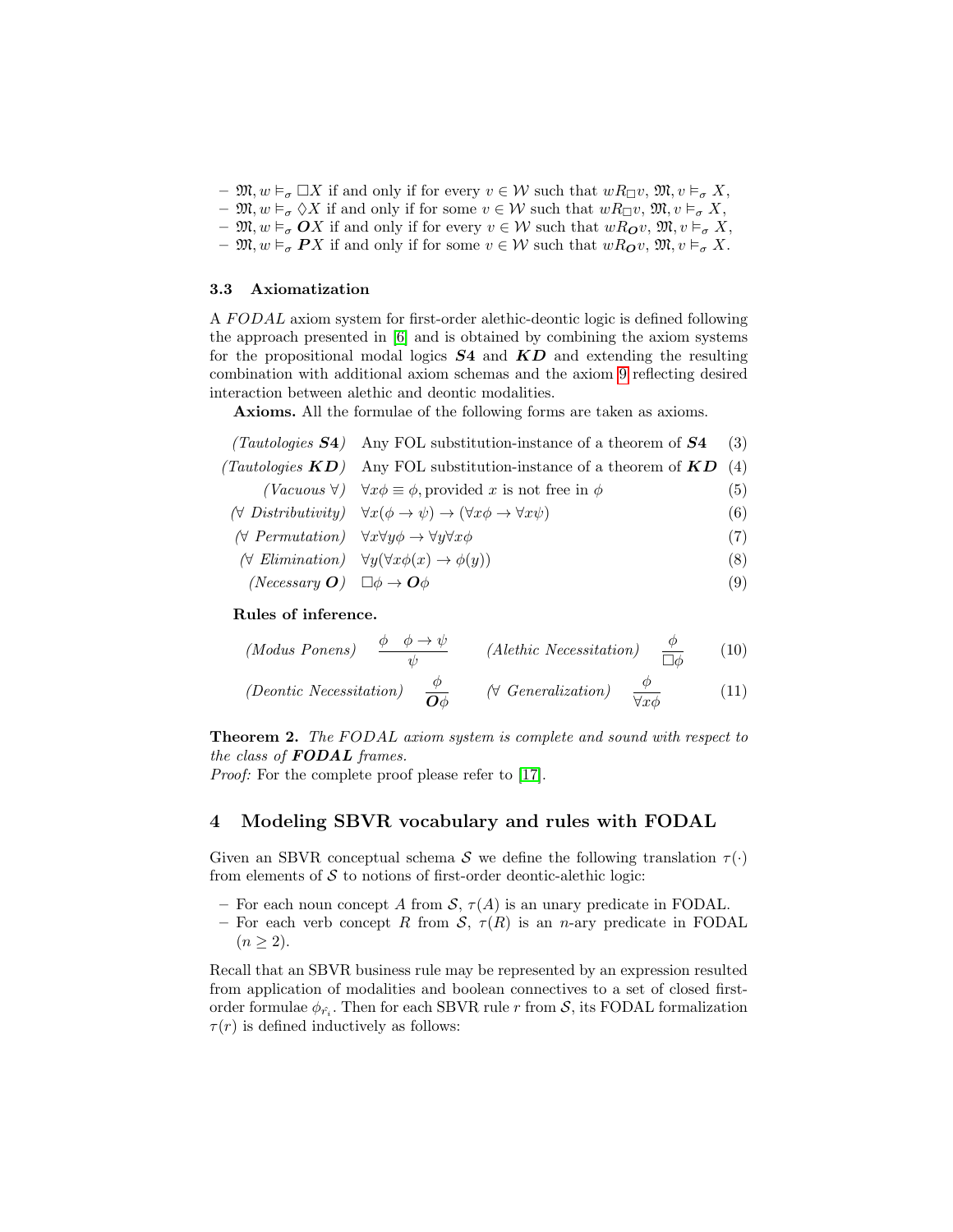- $\mathfrak{M}, w \models_{\sigma} \Box X$  if and only if for every  $v \in \mathcal{W}$  such that  $wR_{\Box}v, \mathfrak{M}, v \models_{\sigma} X$ ,
- $\mathfrak{M}, w \vDash_{\sigma} \Diamond X$  if and only if for some  $v \in \mathcal{W}$  such that  $wR_{\Box}v, \mathfrak{M}, v \vDash_{\sigma} X$ ,
- $\mathfrak{M}, w \vDash_{\sigma} OX$  if and only if for every  $v \in \mathcal{W}$  such that  $wR_{\mathbf{O}}v, \mathfrak{M}, v \vDash_{\sigma} X$ ,
- $\mathfrak{M}, w \vDash_{\sigma} \mathbf{P} X$  if and only if for some  $v \in \mathcal{W}$  such that  $wR_{\mathbf{O}}v$ ,  $\mathfrak{M}, v \vDash_{\sigma} X$ .

#### 3.3 Axiomatization

A FODAL axiom system for first-order alethic-deontic logic is defined following the approach presented in [\[6\]](#page-14-13) and is obtained by combining the axiom systems for the propositional modal logics  $S4$  and  $KD$  and extending the resulting combination with additional axiom schemas and the axiom [9](#page-6-0) reflecting desired interaction between alethic and deontic modalities.

Axioms. All the formulae of the following forms are taken as axioms.

| (Tautologies $S4$ ) Any FOL substitution-instance of a theorem of $S4$ (3)                                                        |     |
|-----------------------------------------------------------------------------------------------------------------------------------|-----|
| (Tautologies $KD$ ) Any FOL substitution-instance of a theorem of $KD(4)$                                                         |     |
| ( <i>Vacuous</i> $\forall$ ) $\forall x \phi \equiv \phi$ , provided x is not free in $\phi$                                      | (5) |
| $(\forall \text{ Distributivity}) \quad \forall x(\phi \rightarrow \psi) \rightarrow (\forall x \phi \rightarrow \forall x \psi)$ | (6) |

- $(\forall \; Permutation) \quad \forall x \forall y \phi \rightarrow \forall y \forall x \phi$  (7)
- $(\forall \; Elimination) \quad \forall y (\forall x \phi(x) \rightarrow \phi(y))$  (8)
- (Necessary  $O$ )  $\Box \phi \rightarrow O\phi$  (9)

#### Rules of inference.

<span id="page-6-0"></span>(Modus Ponens) 
$$
\frac{\phi \quad \phi \to \psi}{\psi}
$$
 (Alethic Necessitation)  $\frac{\phi}{\Box \phi}$  (10)

(Deontic Necessitation) 
$$
\frac{\phi}{\mathbf{O}\phi}
$$
 (V Generalization)  $\frac{\phi}{\forall x\phi}$  (11)

**Theorem 2.** The FODAL axiom system is complete and sound with respect to the class of **FODAL** frames.

*Proof:* For the complete proof please refer to [\[17\]](#page-14-16).

## 4 Modeling SBVR vocabulary and rules with FODAL

Given an SBVR conceptual schema S we define the following translation  $\tau(\cdot)$ from elements of  $S$  to notions of first-order deontic-alethic logic:

- For each noun concept A from  $S$ ,  $\tau(A)$  is an unary predicate in FODAL.
- For each verb concept R from S,  $\tau(R)$  is an n-ary predicate in FODAL  $(n \geq 2)$ .

Recall that an SBVR business rule may be represented by an expression resulted from application of modalities and boolean connectives to a set of closed firstorder formulae  $\phi_{\hat{r_i}}$ . Then for each SBVR rule r from  $\mathcal{S}$ , its FODAL formalization  $\tau(r)$  is defined inductively as follows: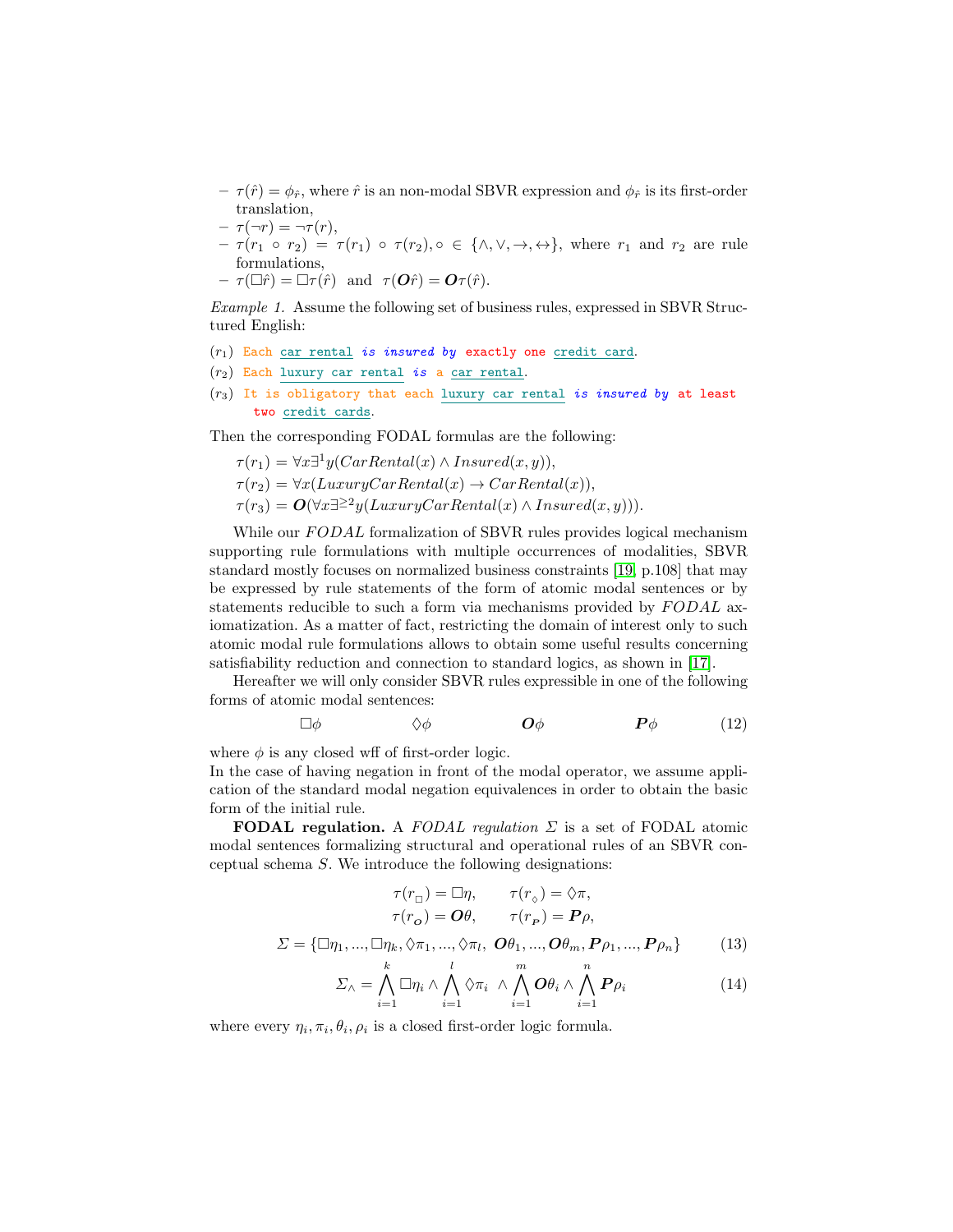- $-\tau(\hat{r}) = \phi_{\hat{r}}$ , where  $\hat{r}$  is an non-modal SBVR expression and  $\phi_{\hat{r}}$  is its first-order translation,
- $-\tau(\neg r) = \neg \tau(r),$
- $-\tau(r_1 \circ r_2) = \tau(r_1) \circ \tau(r_2), \circ \in \{\wedge, \vee, \rightarrow, \leftrightarrow\},\$  where  $r_1$  and  $r_2$  are rule formulations,
- $\tau(\Box \hat{r}) = \Box \tau(\hat{r}) \text{ and } \tau(\mathbf{O}\hat{r}) = \mathbf{O}\tau(\hat{r}).$

Example 1. Assume the following set of business rules, expressed in SBVR Structured English:

- $(r_1)$  Each car rental is insured by exactly one credit card.
- $(r_2)$  Each luxury car rental is a car rental.
- $(r_3)$  It is obligatory that each luxury car rental is insured by at least two credit cards.

Then the corresponding FODAL formulas are the following:

$$
\tau(r_1) = \forall x \exists^1 y (CarRental(x) \land Insured(x, y)),
$$

- $\tau(r_2) = \forall x (LuxuryCarRental(x) \rightarrow CarRental(x)),$
- $\tau(r_3) = \mathbf{O}(\forall x \exists^{\geq 2} y(LuxuryCarRental(x) \land Insured(x, y))).$

While our FODAL formalization of SBVR rules provides logical mechanism supporting rule formulations with multiple occurrences of modalities, SBVR standard mostly focuses on normalized business constraints [\[19,](#page-14-1) p.108] that may be expressed by rule statements of the form of atomic modal sentences or by statements reducible to such a form via mechanisms provided by FODAL axiomatization. As a matter of fact, restricting the domain of interest only to such atomic modal rule formulations allows to obtain some useful results concerning satisfiability reduction and connection to standard logics, as shown in [\[17\]](#page-14-16).

Hereafter we will only consider SBVR rules expressible in one of the following forms of atomic modal sentences:

$$
\Box \phi \qquad \qquad \Diamond \phi \qquad \qquad \mathbf{O} \phi \qquad \qquad \mathbf{P} \phi \qquad \qquad (12)
$$

where  $\phi$  is any closed wff of first-order logic.

In the case of having negation in front of the modal operator, we assume application of the standard modal negation equivalences in order to obtain the basic form of the initial rule.

**FODAL regulation.** A FODAL regulation  $\Sigma$  is a set of FODAL atomic modal sentences formalizing structural and operational rules of an SBVR conceptual schema S. We introduce the following designations:

$$
\tau(r_{\Box}) = \Box \eta, \qquad \tau(r_{\Diamond}) = \Diamond \pi,
$$

$$
\tau(r_o) = \mathbf{O}\theta, \qquad \tau(r_P) = \mathbf{P}\rho,
$$

$$
\Sigma = \{\Box \eta_1, ..., \Box \eta_k, \Diamond \pi_1, ..., \Diamond \pi_l, \mathbf{O}\theta_1, ..., \mathbf{O}\theta_m, \mathbf{P}\rho_1, ..., \mathbf{P}\rho_n\} \qquad (13)
$$

<span id="page-7-0"></span>
$$
\Sigma_{\wedge} = \bigwedge_{i=1}^{k} \Box \eta_{i} \wedge \bigwedge_{i=1}^{l} \Diamond \pi_{i} \wedge \bigwedge_{i=1}^{m} O \theta_{i} \wedge \bigwedge_{i=1}^{n} P \rho_{i}
$$
\n(14)

where every  $\eta_i, \pi_i, \theta_i, \rho_i$  is a closed first-order logic formula.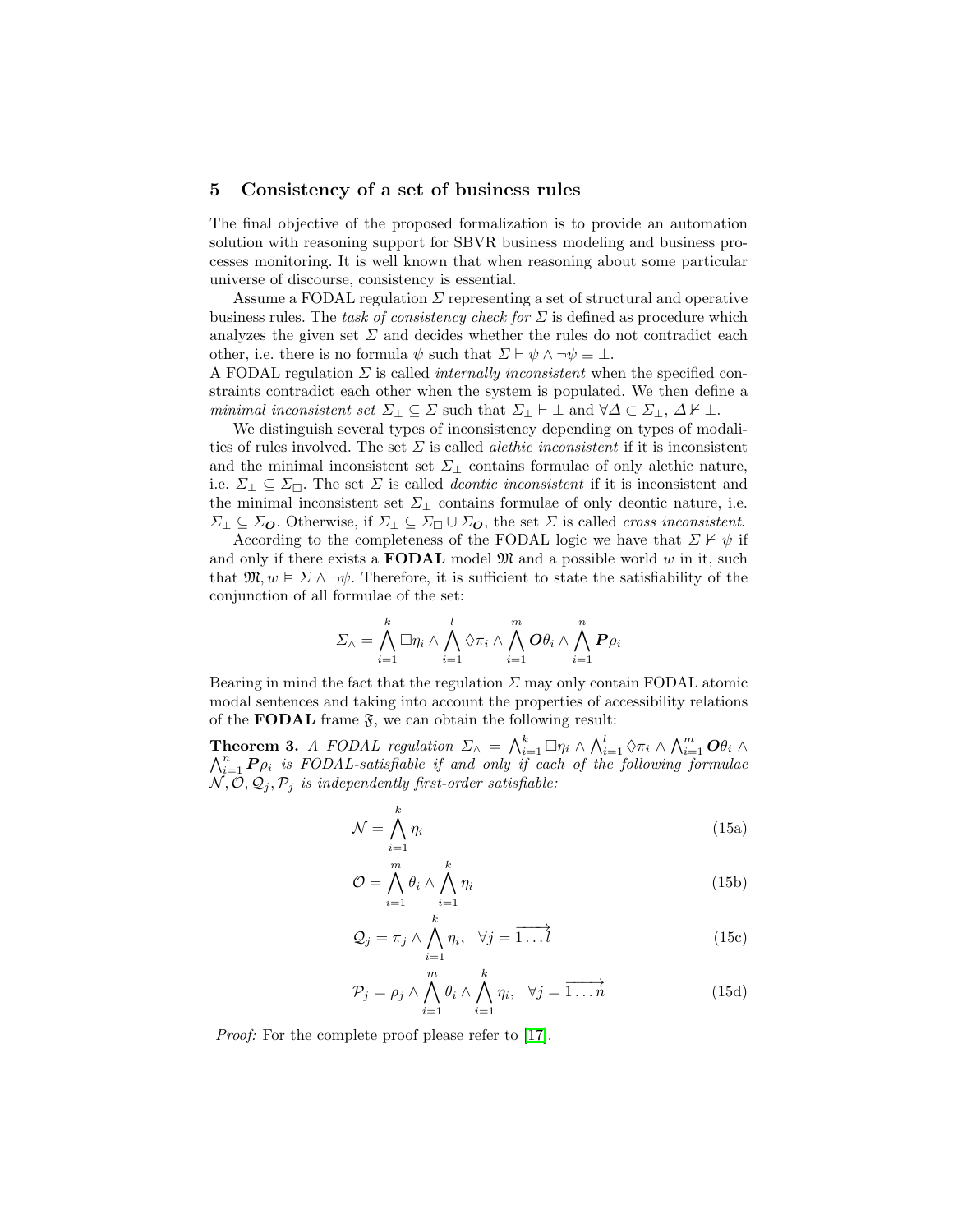#### <span id="page-8-2"></span>5 Consistency of a set of business rules

The final objective of the proposed formalization is to provide an automation solution with reasoning support for SBVR business modeling and business processes monitoring. It is well known that when reasoning about some particular universe of discourse, consistency is essential.

Assume a FODAL regulation  $\Sigma$  representing a set of structural and operative business rules. The task of consistency check for  $\Sigma$  is defined as procedure which analyzes the given set  $\Sigma$  and decides whether the rules do not contradict each other, i.e. there is no formula  $\psi$  such that  $\Sigma \vdash \psi \land \neg \psi \equiv \bot$ .

A FODAL regulation  $\Sigma$  is called *internally inconsistent* when the specified constraints contradict each other when the system is populated. We then define a minimal inconsistent set  $\Sigma_{\perp} \subseteq \Sigma$  such that  $\Sigma_{\perp} \vdash \bot$  and  $\forall \Delta \subset \Sigma_{\perp}, \Delta \nvdash \bot$ .

We distinguish several types of inconsistency depending on types of modalities of rules involved. The set  $\Sigma$  is called *alethic inconsistent* if it is inconsistent and the minimal inconsistent set  $\Sigma_{\perp}$  contains formulae of only alethic nature, i.e.  $\Sigma_{\perp} \subseteq \Sigma_{\square}$ . The set  $\Sigma$  is called *deontic inconsistent* if it is inconsistent and the minimal inconsistent set  $\Sigma_{\perp}$  contains formulae of only deontic nature, i.e.  $\Sigma_{\perp} \subseteq \Sigma_{\mathbf{O}}$ . Otherwise, if  $\Sigma_{\perp} \subseteq \Sigma_{\square} \cup \Sigma_{\mathbf{O}}$ , the set  $\Sigma$  is called *cross inconsistent*.

According to the completeness of the FODAL logic we have that  $\Sigma \nvDash \psi$  if and only if there exists a **FODAL** model  $\mathfrak{M}$  and a possible world w in it, such that  $\mathfrak{M}, w \models \Sigma \wedge \neg \psi$ . Therefore, it is sufficient to state the satisfiability of the conjunction of all formulae of the set:

$$
\varSigma_{\wedge}=\bigwedge_{i=1}^{k}\Box\eta_{i}\wedge\bigwedge_{i=1}^{l}\Diamond\pi_{i}\wedge\bigwedge_{i=1}^{m}\bm{O}\theta_{i}\wedge\bigwedge_{i=1}^{n}\bm{P}\rho_{i}
$$

Bearing in mind the fact that the regulation  $\Sigma$  may only contain FODAL atomic modal sentences and taking into account the properties of accessibility relations of the **FODAL** frame  $\mathfrak{F}$ , we can obtain the following result:

**Theorem 3.** A FODAL regulation  $\Sigma_{\wedge} = \bigwedge_{i=1}^{k} \Box \eta_i \wedge \bigwedge_{i=1}^{l} \Diamond \pi_i \wedge \bigwedge_{i=1}^{m} O \theta_i \wedge$  $\bigwedge_{i=1}^n P_{\rho_i}$  is FODAL-satisfiable if and only if each of the following formulae  $\mathcal{N}, \mathcal{O}, \mathcal{Q}_i, \mathcal{P}_i$  is independently first-order satisfiable:

<span id="page-8-0"></span>
$$
\mathcal{N} = \bigwedge_{i=1}^{k} \eta_i \tag{15a}
$$

<span id="page-8-1"></span>
$$
\mathcal{O} = \bigwedge_{i=1}^{m} \theta_i \wedge \bigwedge_{i=1}^{k} \eta_i
$$
 (15b)

$$
Q_j = \pi_j \wedge \bigwedge_{i=1}^k \eta_i, \quad \forall j = \overrightarrow{1 \dots l} \tag{15c}
$$

$$
\mathcal{P}_j = \rho_j \wedge \bigwedge_{i=1}^m \theta_i \wedge \bigwedge_{i=1}^k \eta_i, \quad \forall j = \overrightarrow{1 \dots n} \tag{15d}
$$

Proof: For the complete proof please refer to [\[17\]](#page-14-16).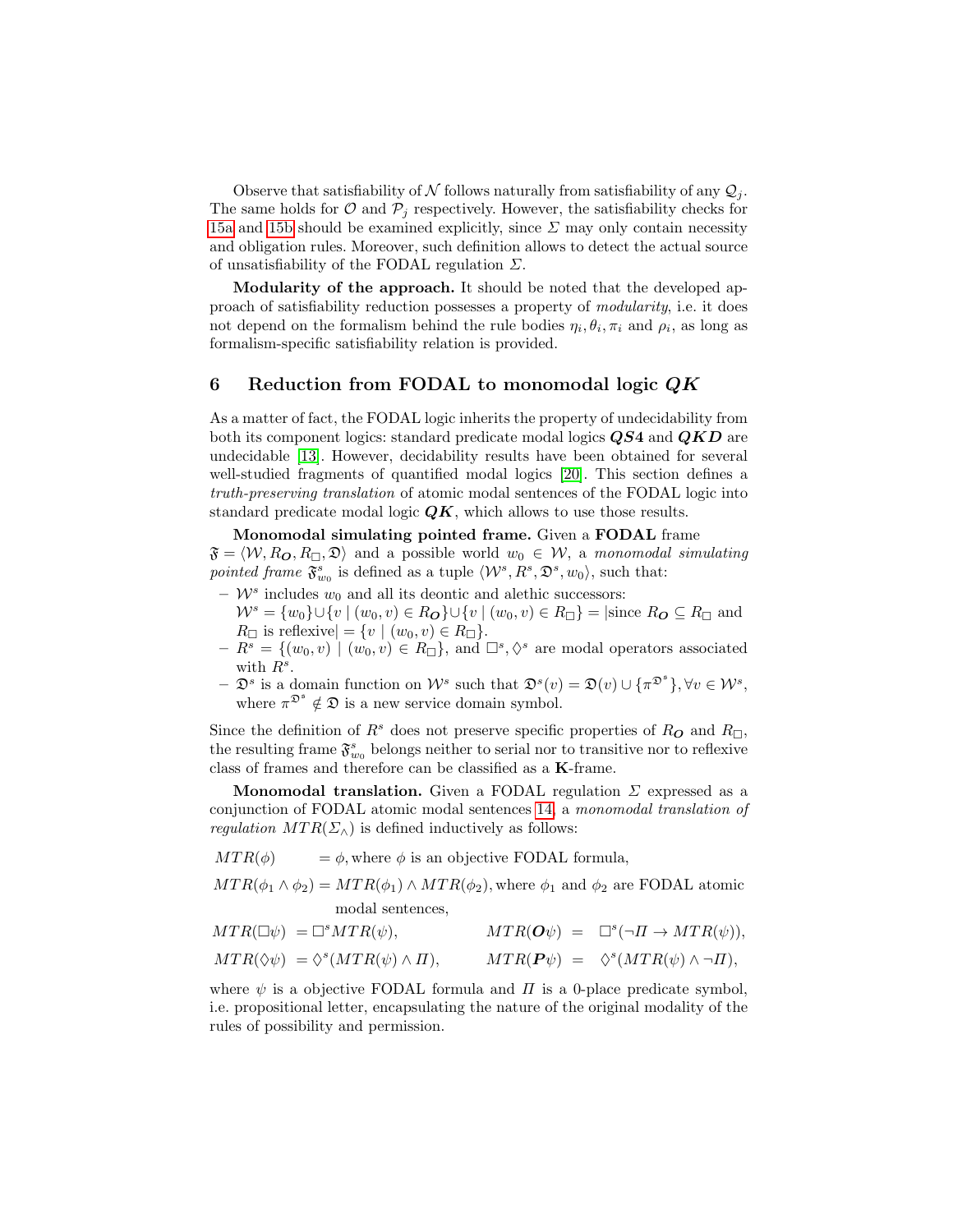Observe that satisfiability of N follows naturally from satisfiability of any  $\mathcal{Q}_i$ . The same holds for  $\mathcal{O}$  and  $\mathcal{P}_j$  respectively. However, the satisfiability checks for [15a](#page-8-0) and [15b](#page-8-1) should be examined explicitly, since  $\Sigma$  may only contain necessity and obligation rules. Moreover, such definition allows to detect the actual source of unsatisfiability of the FODAL regulation  $\Sigma$ .

Modularity of the approach. It should be noted that the developed approach of satisfiability reduction possesses a property of modularity, i.e. it does not depend on the formalism behind the rule bodies  $\eta_i, \theta_i, \pi_i$  and  $\rho_i$ , as long as formalism-specific satisfiability relation is provided.

# 6 Reduction from FODAL to monomodal logic  $QK$

As a matter of fact, the FODAL logic inherits the property of undecidability from both its component logics: standard predicate modal logics  $\overline{Q}S4$  and  $\overline{QKD}$  are undecidable [\[13\]](#page-14-17). However, decidability results have been obtained for several well-studied fragments of quantified modal logics [\[20\]](#page-14-18). This section defines a truth-preserving translation of atomic modal sentences of the FODAL logic into standard predicate modal logic  $QK$ , which allows to use those results.

# Monomodal simulating pointed frame. Given a FODAL frame

 $\mathfrak{F} = \langle W, R_{\mathbf{\mathcal{O}}}, R_{\Box}, \mathfrak{D} \rangle$  and a possible world  $w_0 \in W$ , a monomodal simulating pointed frame  $\mathfrak{F}_{w_0}^s$  is defined as a tuple  $\langle \mathcal{W}^s, R^s, \mathfrak{D}^s, w_0 \rangle$ , such that:

- $\mathcal{W}^s$  includes  $w_0$  and all its deontic and alethic successors:
- $W^s = \{w_0\} \cup \{v \mid (w_0, v) \in R_{\mathbf{O}}\} \cup \{v \mid (w_0, v) \in R_{\Box}\} = |\text{since } R_{\mathbf{O}} \subseteq R_{\Box} \text{ and }$  $R_{\Box}$  is reflexive $= \{v \mid (w_0, v) \in R_{\Box}\}.$
- $-R^{s} = \{(w_0, v) \mid (w_0, v) \in R_{\Box}\},\$ and  $\Box^{s}, \Diamond^{s}$  are modal operators associated with  $R^s$ .
- $-\mathcal{D}^s$  is a domain function on  $\mathcal{W}^s$  such that  $\mathcal{D}^s(v) = \mathfrak{D}(v) \cup \{\pi^{\mathfrak{D}^s}\}, \forall v \in \mathcal{W}^s$ , where  $\pi^{\mathfrak{D}^s} \notin \mathfrak{D}$  is a new service domain symbol.

Since the definition of  $R^s$  does not preserve specific properties of  $R_{\mathbf{O}}$  and  $R_{\Box}$ , the resulting frame  $\mathfrak{F}^s_{w_0}$  belongs neither to serial nor to transitive nor to reflexive class of frames and therefore can be classified as a K-frame.

**Monomodal translation.** Given a FODAL regulation  $\Sigma$  expressed as a conjunction of FODAL atomic modal sentences [14,](#page-7-0) a monomodal translation of regulation  $MTR(\Sigma_\wedge)$  is defined inductively as follows:

$$
MTR(\phi) = \phi
$$
, where  $\phi$  is an objective FODAL formula,

 $MTR(\phi_1 \wedge \phi_2) = MTR(\phi_1) \wedge MTR(\phi_2)$ , where  $\phi_1$  and  $\phi_2$  are FODAL atomic modal sentences,

$$
MTR(\Box \psi) = \Box^s MTR(\psi), \qquad \qquad MTR(O\psi) = \Box^s(\neg \Pi \to MTR(\psi)),
$$
  

$$
MTR(\Diamond \psi) = \Diamond^s (MTR(\psi) \land \Pi), \qquad \qquad MTR(P\psi) = \Diamond^s (MTR(\psi) \land \neg \Pi),
$$

where  $\psi$  is a objective FODAL formula and  $\Pi$  is a 0-place predicate symbol. i.e. propositional letter, encapsulating the nature of the original modality of the rules of possibility and permission.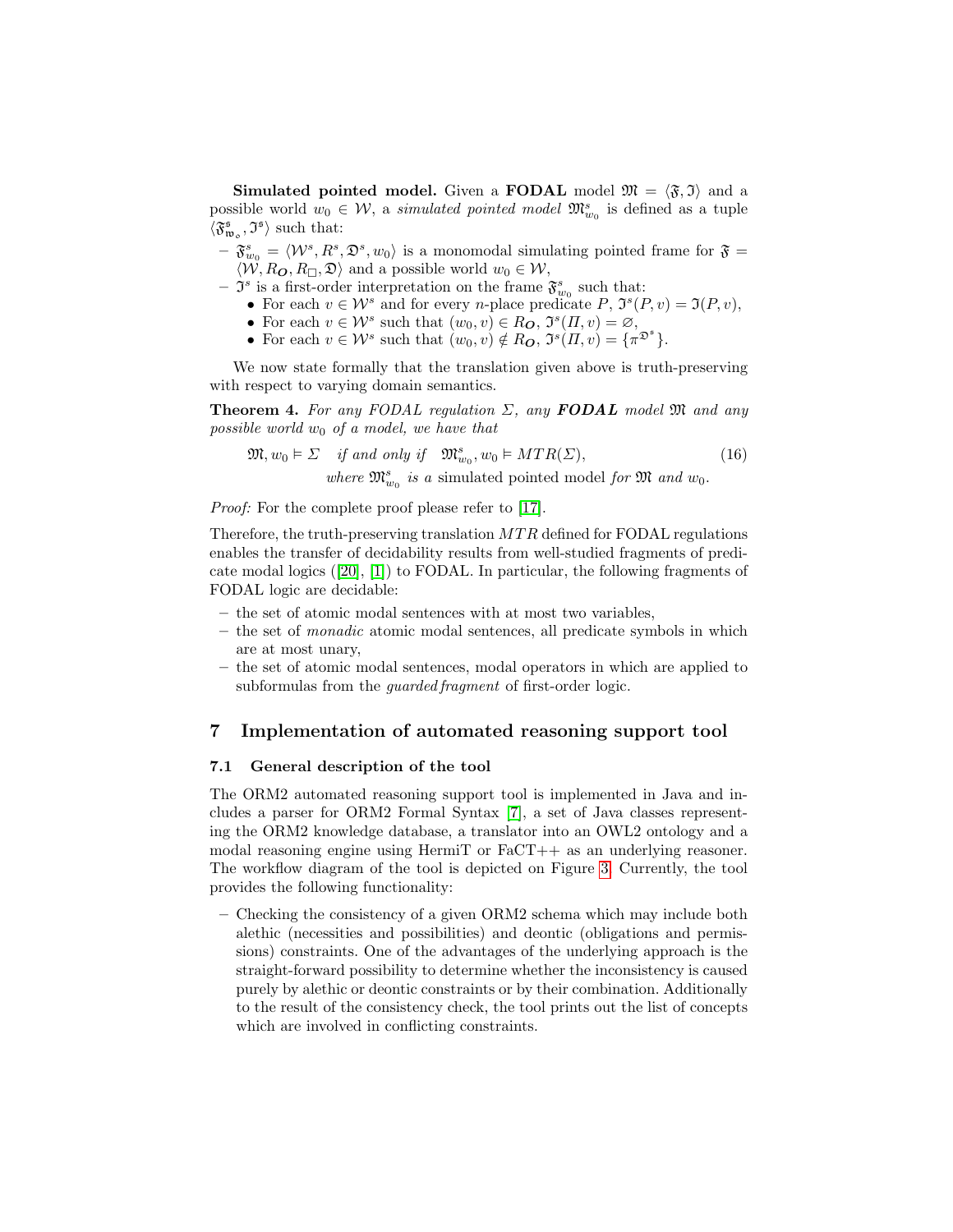**Simulated pointed model.** Given a **FODAL** model  $\mathfrak{M} = \langle \mathfrak{F}, \mathfrak{I} \rangle$  and a possible world  $w_0 \in \mathcal{W}$ , a *simulated pointed model*  $\mathfrak{M}^s_{w_0}$  is defined as a tuple  $\langle \mathfrak{F}_{\mathfrak{w}_o}^{\mathfrak{s}}, \mathfrak{I}^{\mathfrak{s}} \rangle$  such that:

 $-\mathfrak{F}^s_{w_0} = \langle \mathcal{W}^s, R^s, \mathfrak{D}^s, w_0 \rangle$  is a monomodal simulating pointed frame for  $\mathfrak{F} =$  $\langle W, R_{\mathbf{\mathbf{O}}}, R_{\square}, \mathfrak{D} \rangle$  and a possible world  $w_0 \in \mathcal{W}$ ,

- $\mathfrak{I}^s$  is a first-order interpretation on the frame  $\mathfrak{F}^s_{w_0}$  such that:
	- For each  $v \in \mathcal{W}^s$  and for every *n*-place predicate P,  $\mathfrak{I}^s(P, v) = \mathfrak{I}(P, v)$ ,
	- For each  $v \in \mathcal{W}^s$  such that  $(w_0, v) \in R_0$ ,  $\mathfrak{I}^s(\Pi, v) = \varnothing$ ,
	- For each  $v \in \mathcal{W}^s$  such that  $(w_0, v) \notin R_0$ ,  $\mathfrak{I}^s(\Pi, v) = {\pi^{\mathfrak{D}^s}}.$

We now state formally that the translation given above is truth-preserving with respect to varying domain semantics.

**Theorem 4.** For any FODAL regulation  $\Sigma$ , any **FODAL** model  $\mathfrak{M}$  and any possible world  $w_0$  of a model, we have that

$$
\mathfrak{M}, w_0 \models \Sigma \quad \text{if and only if} \quad \mathfrak{M}_{w_0}^s, w_0 \models MTR(\Sigma), \tag{16}
$$

where  $\mathfrak{M}_{w_0}^s$  is a simulated pointed model for  $\mathfrak{M}$  and  $w_0$ .

*Proof:* For the complete proof please refer to [\[17\]](#page-14-16).

Therefore, the truth-preserving translation  $MTR$  defined for FODAL regulations enables the transfer of decidability results from well-studied fragments of predicate modal logics ([\[20\]](#page-14-18), [\[1\]](#page-14-19)) to FODAL. In particular, the following fragments of FODAL logic are decidable:

- the set of atomic modal sentences with at most two variables,
- the set of monadic atomic modal sentences, all predicate symbols in which are at most unary,
- the set of atomic modal sentences, modal operators in which are applied to subformulas from the *guarded fragment* of first-order logic.

## 7 Implementation of automated reasoning support tool

## 7.1 General description of the tool

The ORM2 automated reasoning support tool is implemented in Java and includes a parser for ORM2 Formal Syntax [\[7\]](#page-14-12), a set of Java classes representing the ORM2 knowledge database, a translator into an OWL2 ontology and a modal reasoning engine using HermiT or  $F_aCT++$  as an underlying reasoner. The workflow diagram of the tool is depicted on Figure [3.](#page-11-0) Currently, the tool provides the following functionality:

– Checking the consistency of a given ORM2 schema which may include both alethic (necessities and possibilities) and deontic (obligations and permissions) constraints. One of the advantages of the underlying approach is the straight-forward possibility to determine whether the inconsistency is caused purely by alethic or deontic constraints or by their combination. Additionally to the result of the consistency check, the tool prints out the list of concepts which are involved in conflicting constraints.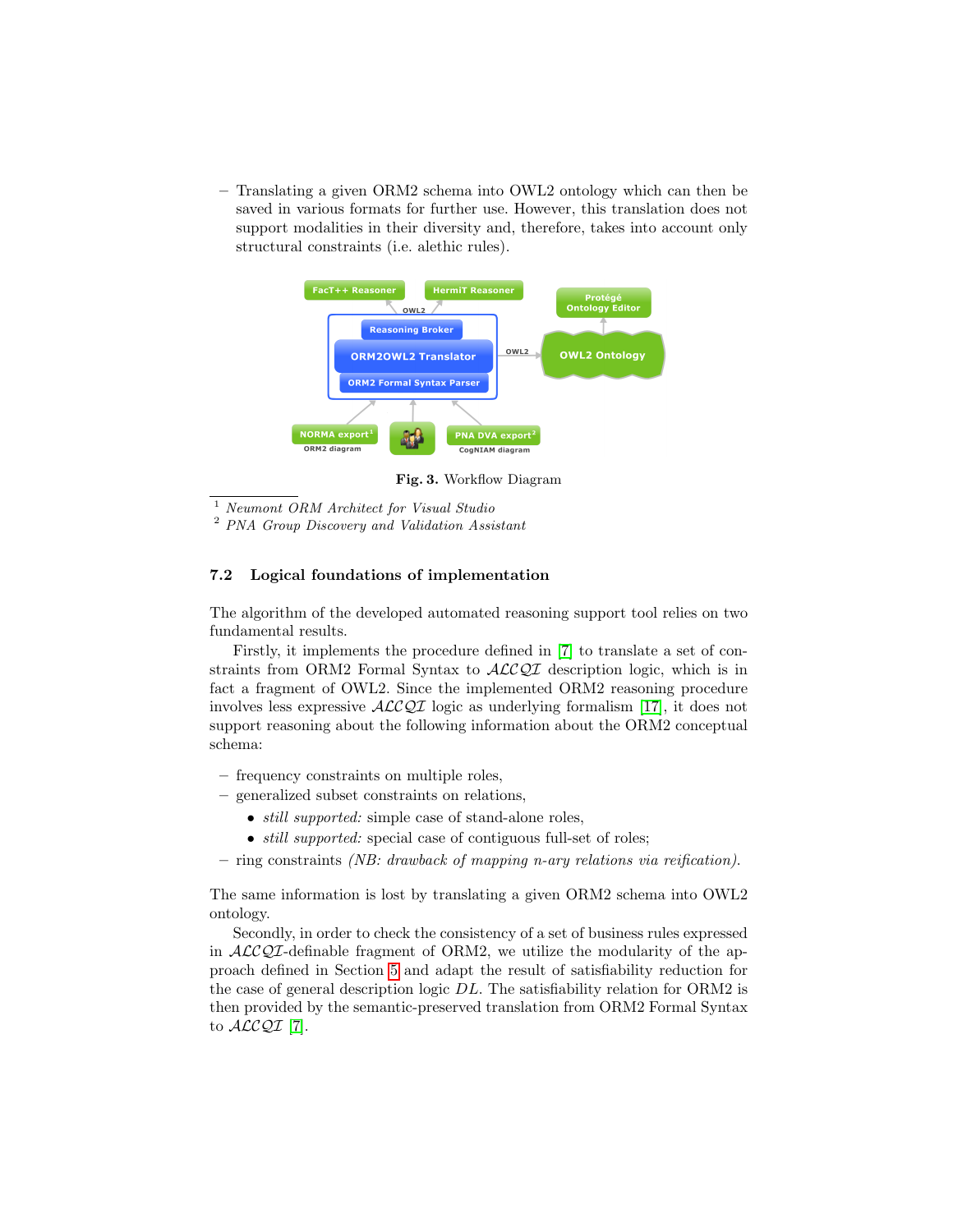– Translating a given ORM2 schema into OWL2 ontology which can then be saved in various formats for further use. However, this translation does not support modalities in their diversity and, therefore, takes into account only structural constraints (i.e. alethic rules).



<span id="page-11-0"></span>Fig. 3. Workflow Diagram

<sup>1</sup> Neumont ORM Architect for Visual Studio

<sup>2</sup> PNA Group Discovery and Validation Assistant

#### 7.2 Logical foundations of implementation

The algorithm of the developed automated reasoning support tool relies on two fundamental results.

Firstly, it implements the procedure defined in [\[7\]](#page-14-12) to translate a set of constraints from ORM2 Formal Syntax to  $\mathcal{ALCOT}$  description logic, which is in fact a fragment of OWL2. Since the implemented ORM2 reasoning procedure involves less expressive  $\mathcal{ALCOI}$  logic as underlying formalism [\[17\]](#page-14-16), it does not support reasoning about the following information about the ORM2 conceptual schema:

- frequency constraints on multiple roles,
- generalized subset constraints on relations,
	- *still supported:* simple case of stand-alone roles,
	- *still supported:* special case of contiguous full-set of roles;
- ring constraints *(NB: drawback of mapping n-ary relations via reification)*.

The same information is lost by translating a given ORM2 schema into OWL2 ontology.

Secondly, in order to check the consistency of a set of business rules expressed in  $\mathcal{ALCQI}$ -definable fragment of ORM2, we utilize the modularity of the approach defined in Section [5](#page-8-2) and adapt the result of satisfiability reduction for the case of general description logic DL. The satisfiability relation for ORM2 is then provided by the semantic-preserved translation from ORM2 Formal Syntax to  $\text{ALCQI}$  [\[7\]](#page-14-12).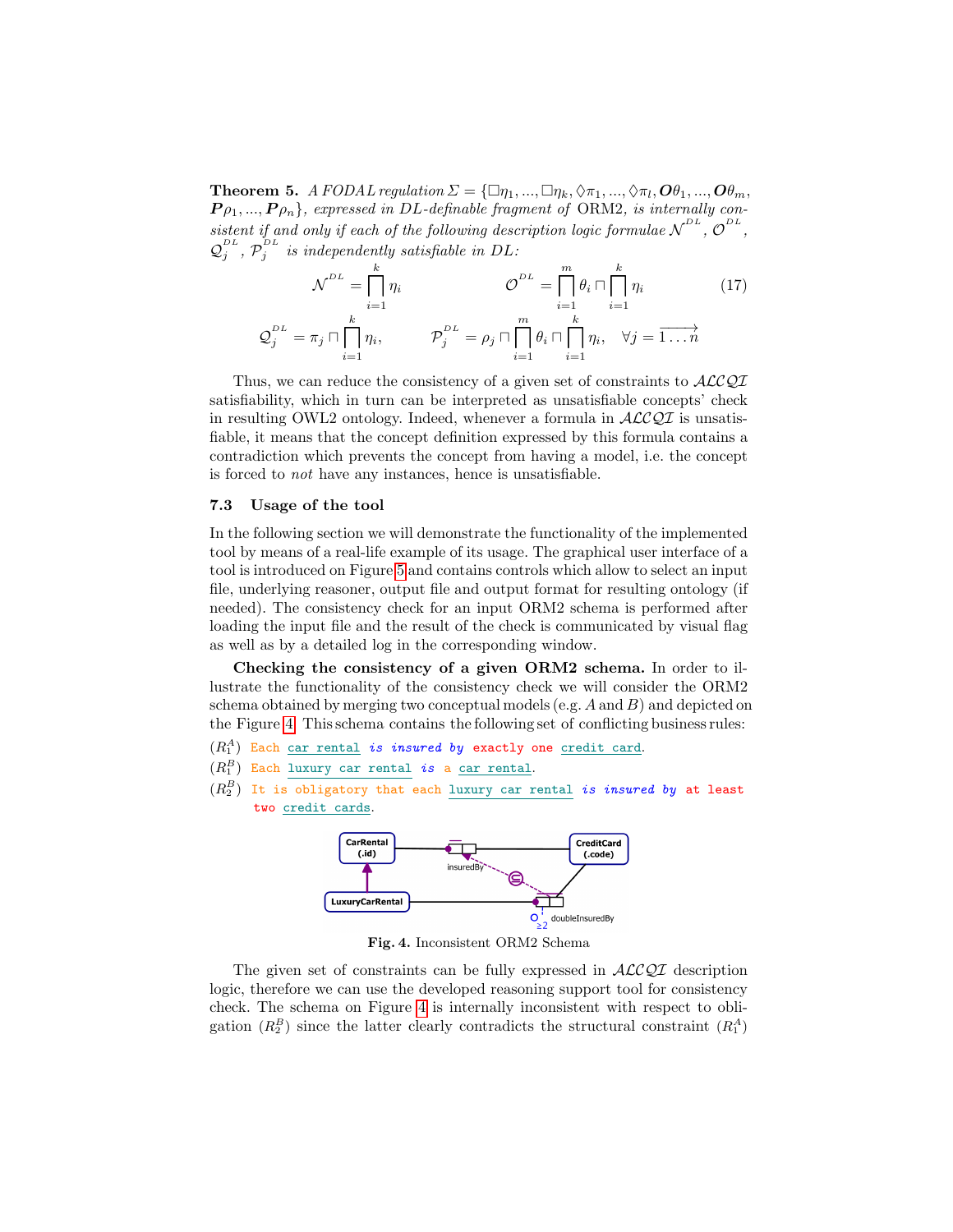**Theorem 5.** A FODAL regulation  $\Sigma = {\square} \eta_1, ..., \square \eta_k, \Diamond \pi_1, ..., \Diamond \pi_l, O \theta_1, ..., O \theta_m$ ,  $P_{\rho_1, \dots, P_{\rho_n}}$ , expressed in DL-definable fragment of ORM2, is internally consistent if and only if each of the following description logic formulae  $\mathcal{N}^{DL}$ ,  $\mathcal{O}^{DL}$ ,  $\mathcal{Q}_j^{DL}$ ,  $\mathcal{P}_j^{DL}$  is independently satisfiable in DL:

$$
\mathcal{N}^{DL} = \prod_{i=1}^{k} \eta_i \qquad \qquad \mathcal{O}^{DL} = \prod_{i=1}^{m} \theta_i \cap \prod_{i=1}^{k} \eta_i \qquad (17)
$$

$$
\mathcal{Q}_j^{DL} = \pi_j \cap \prod_{i=1}^{k} \eta_i, \qquad \mathcal{P}_j^{DL} = \rho_j \cap \prod_{i=1}^{m} \theta_i \cap \prod_{i=1}^{k} \eta_i, \quad \forall j = \overrightarrow{1 \dots n}
$$

Thus, we can reduce the consistency of a given set of constraints to  $\mathcal{ALCOI}$ satisfiability, which in turn can be interpreted as unsatisfiable concepts' check in resulting OWL2 ontology. Indeed, whenever a formula in  $\mathcal{ALCQI}$  is unsatisfiable, it means that the concept definition expressed by this formula contains a contradiction which prevents the concept from having a model, i.e. the concept is forced to not have any instances, hence is unsatisfiable.

#### 7.3 Usage of the tool

In the following section we will demonstrate the functionality of the implemented tool by means of a real-life example of its usage. The graphical user interface of a tool is introduced on Figure [5](#page-13-0) and contains controls which allow to select an input file, underlying reasoner, output file and output format for resulting ontology (if needed). The consistency check for an input ORM2 schema is performed after loading the input file and the result of the check is communicated by visual flag as well as by a detailed log in the corresponding window.

Checking the consistency of a given ORM2 schema. In order to illustrate the functionality of the consistency check we will consider the ORM2 schema obtained by merging two conceptual models (e.g.  $A$  and  $B$ ) and depicted on the Figure [4.](#page-12-0) This schema contains the following set of conflicting business rules:

- $(R_1^A)$  Each car rental *is insured by* exactly one credit card.
- $(R_{1}^{B})$  Each luxury car rental is a <u>car rental</u>.
- $(R_2^B)$  It is obligatory that each luxury car rental *is insured by* at least two credit cards.



<span id="page-12-0"></span>Fig. 4. Inconsistent ORM2 Schema

The given set of constraints can be fully expressed in  $ALCQI$  description logic, therefore we can use the developed reasoning support tool for consistency check. The schema on Figure [4](#page-12-0) is internally inconsistent with respect to obligation  $(R_2^B)$  since the latter clearly contradicts the structural constraint  $(R_1^A)$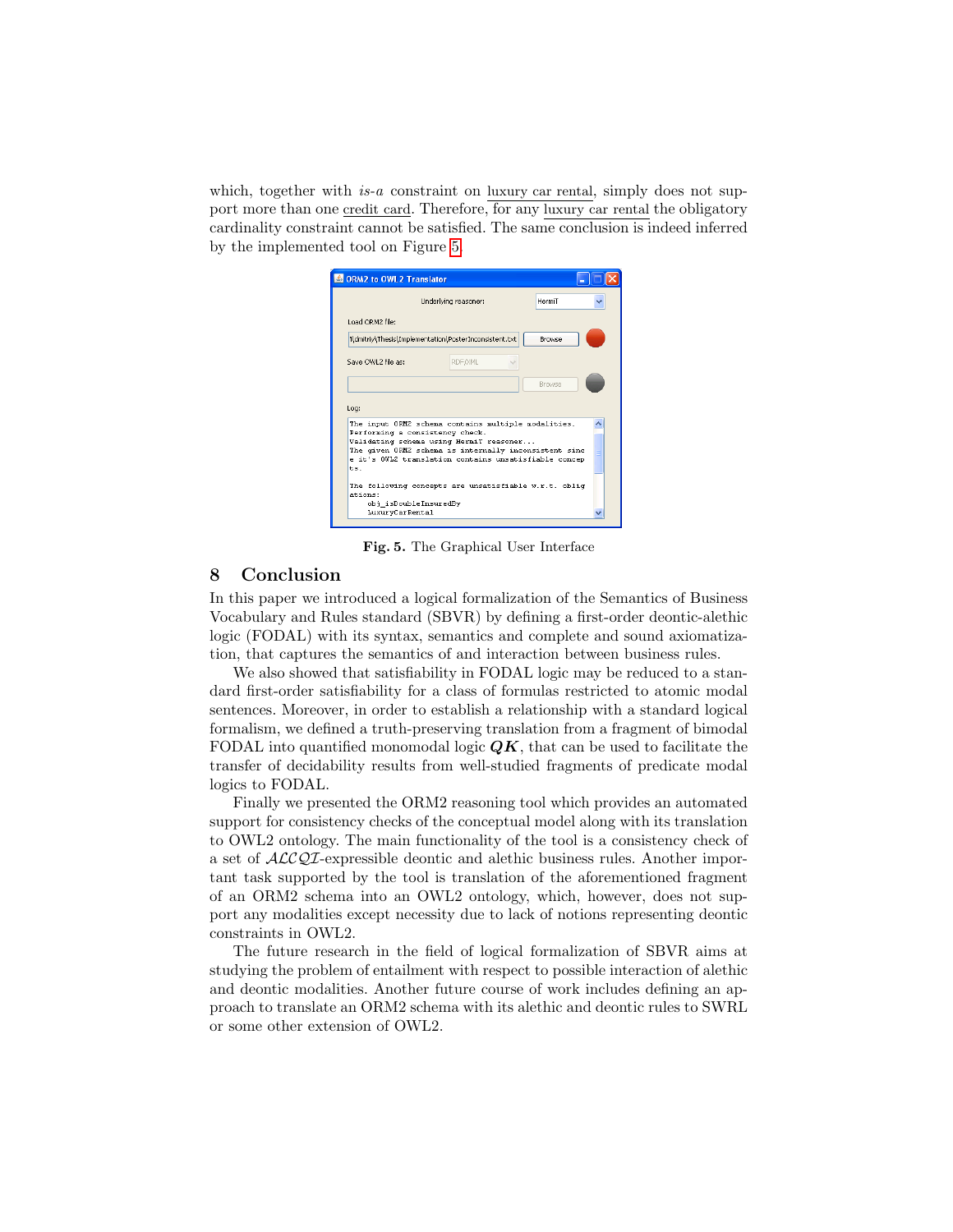which, together with  $is-a$  constraint on luxury car rental, simply does not support more than one credit card. Therefore, for any luxury car rental the obligatory cardinality constraint cannot be satisfied. The same conclusion is indeed inferred by the implemented tool on Figure [5.](#page-13-0)

|                    | Underlying reasoner:                                                                                                                                                                                                                                | HermiT        |  |
|--------------------|-----------------------------------------------------------------------------------------------------------------------------------------------------------------------------------------------------------------------------------------------------|---------------|--|
| Load ORM2 file:    |                                                                                                                                                                                                                                                     |               |  |
|                    | 1\dmitriy\Thesis\Implementation\PosterInconsistent.txt                                                                                                                                                                                              | Browse        |  |
| Save OWL2 file as: | RDF/XML                                                                                                                                                                                                                                             |               |  |
|                    |                                                                                                                                                                                                                                                     | <b>Browse</b> |  |
|                    |                                                                                                                                                                                                                                                     |               |  |
| Log:<br>$t =$      | The input ORM2 schema contains multiple modalities.<br>Performing a consistency check.<br>Validating schema using HermiT reasoner<br>The given ORM2 schema is internally inconsistent sinc<br>e it's OWL2 translation contains unsatisfiable concep |               |  |

<span id="page-13-0"></span>Fig. 5. The Graphical User Interface

# 8 Conclusion

In this paper we introduced a logical formalization of the Semantics of Business Vocabulary and Rules standard (SBVR) by defining a first-order deontic-alethic logic (FODAL) with its syntax, semantics and complete and sound axiomatization, that captures the semantics of and interaction between business rules.

We also showed that satisfiability in FODAL logic may be reduced to a standard first-order satisfiability for a class of formulas restricted to atomic modal sentences. Moreover, in order to establish a relationship with a standard logical formalism, we defined a truth-preserving translation from a fragment of bimodal FODAL into quantified monomodal logic  $QK$ , that can be used to facilitate the transfer of decidability results from well-studied fragments of predicate modal logics to FODAL.

Finally we presented the ORM2 reasoning tool which provides an automated support for consistency checks of the conceptual model along with its translation to OWL2 ontology. The main functionality of the tool is a consistency check of a set of ALCQI-expressible deontic and alethic business rules. Another important task supported by the tool is translation of the aforementioned fragment of an ORM2 schema into an OWL2 ontology, which, however, does not support any modalities except necessity due to lack of notions representing deontic constraints in OWL2.

The future research in the field of logical formalization of SBVR aims at studying the problem of entailment with respect to possible interaction of alethic and deontic modalities. Another future course of work includes defining an approach to translate an ORM2 schema with its alethic and deontic rules to SWRL or some other extension of OWL2.